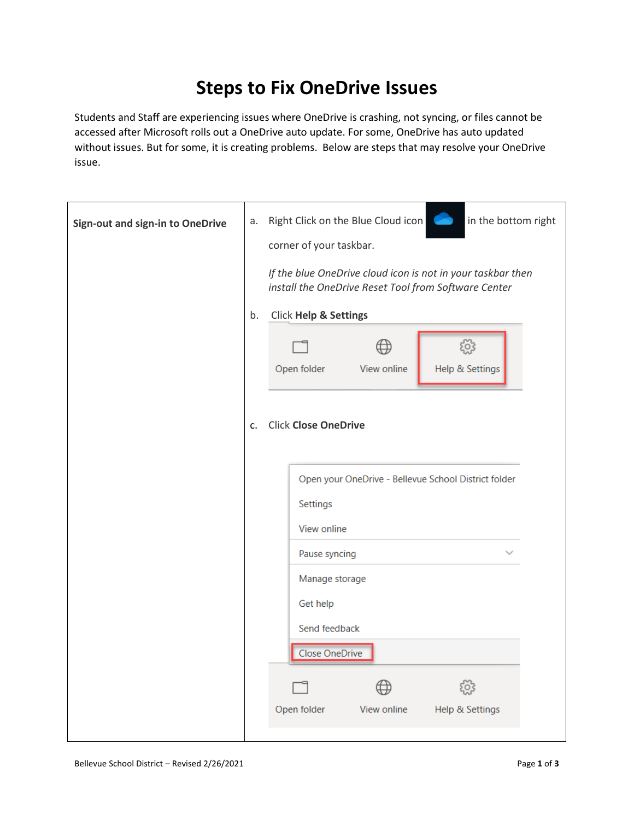## **Steps to Fix OneDrive Issues**

Students and Staff are experiencing issues where OneDrive is crashing, not syncing, or files cannot be accessed after Microsoft rolls out a OneDrive auto update. For some, OneDrive has auto updated without issues. But for some, it is creating problems. Below are steps that may resolve your OneDrive issue.

| Sign-out and sign-in to OneDrive | Right Click on the Blue Cloud icon<br>in the bottom right<br>a.<br>corner of your taskbar.<br>If the blue OneDrive cloud icon is not in your taskbar then<br>install the OneDrive Reset Tool from Software Center<br>Click Help & Settings<br>b. |  |                             |             |                                                      |  |
|----------------------------------|--------------------------------------------------------------------------------------------------------------------------------------------------------------------------------------------------------------------------------------------------|--|-----------------------------|-------------|------------------------------------------------------|--|
|                                  |                                                                                                                                                                                                                                                  |  | Open folder                 | View online | ૹૢ૽ૺ<br>Help & Settings                              |  |
|                                  |                                                                                                                                                                                                                                                  |  |                             |             |                                                      |  |
|                                  | c.                                                                                                                                                                                                                                               |  | <b>Click Close OneDrive</b> |             |                                                      |  |
|                                  |                                                                                                                                                                                                                                                  |  |                             |             | Open your OneDrive - Bellevue School District folder |  |
|                                  |                                                                                                                                                                                                                                                  |  | Settings                    |             |                                                      |  |
|                                  |                                                                                                                                                                                                                                                  |  | View online                 |             |                                                      |  |
|                                  |                                                                                                                                                                                                                                                  |  | Pause syncing               |             |                                                      |  |
|                                  |                                                                                                                                                                                                                                                  |  | Manage storage              |             |                                                      |  |
|                                  |                                                                                                                                                                                                                                                  |  | Get help                    |             |                                                      |  |
|                                  |                                                                                                                                                                                                                                                  |  | Send feedback               |             |                                                      |  |
|                                  |                                                                                                                                                                                                                                                  |  | <b>Close OneDrive</b>       |             |                                                      |  |
|                                  |                                                                                                                                                                                                                                                  |  |                             |             | EO.                                                  |  |
|                                  |                                                                                                                                                                                                                                                  |  | Open folder                 | View online | Help & Settings                                      |  |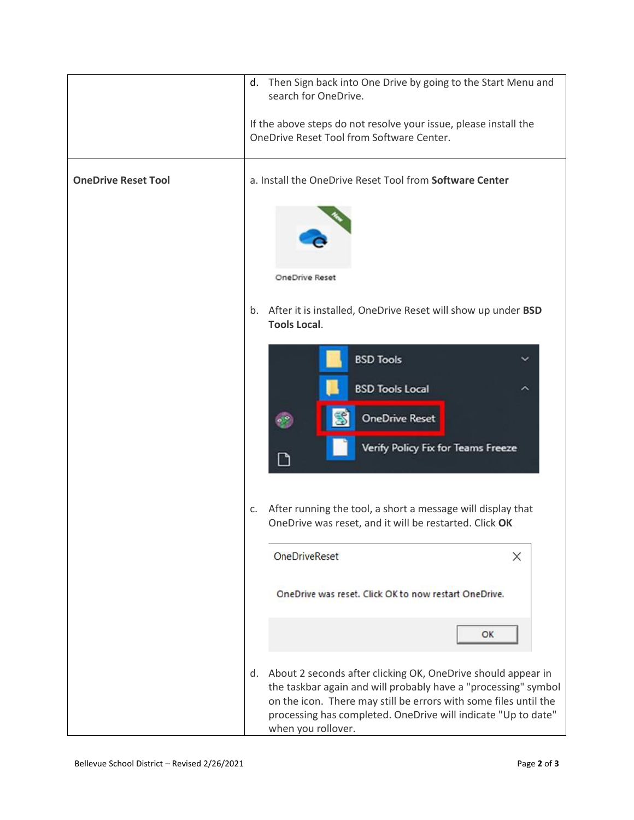|                            | Then Sign back into One Drive by going to the Start Menu and<br>d.<br>search for OneDrive.                                                                                                                                                                                                      |  |  |  |  |  |
|----------------------------|-------------------------------------------------------------------------------------------------------------------------------------------------------------------------------------------------------------------------------------------------------------------------------------------------|--|--|--|--|--|
|                            | If the above steps do not resolve your issue, please install the<br>OneDrive Reset Tool from Software Center.                                                                                                                                                                                   |  |  |  |  |  |
| <b>OneDrive Reset Tool</b> | a. Install the OneDrive Reset Tool from Software Center                                                                                                                                                                                                                                         |  |  |  |  |  |
|                            |                                                                                                                                                                                                                                                                                                 |  |  |  |  |  |
|                            | OneDrive Reset                                                                                                                                                                                                                                                                                  |  |  |  |  |  |
|                            | After it is installed, OneDrive Reset will show up under BSD<br>b.<br><b>Tools Local.</b>                                                                                                                                                                                                       |  |  |  |  |  |
|                            | <b>BSD Tools</b>                                                                                                                                                                                                                                                                                |  |  |  |  |  |
|                            | <b>BSD Tools Local</b><br><b>OneDrive Reset</b>                                                                                                                                                                                                                                                 |  |  |  |  |  |
|                            | Verify Policy Fix for Teams Freeze<br>٦                                                                                                                                                                                                                                                         |  |  |  |  |  |
|                            |                                                                                                                                                                                                                                                                                                 |  |  |  |  |  |
|                            | After running the tool, a short a message will display that<br>C.<br>OneDrive was reset, and it will be restarted. Click OK                                                                                                                                                                     |  |  |  |  |  |
|                            | <b>OneDriveReset</b><br>$\times$                                                                                                                                                                                                                                                                |  |  |  |  |  |
|                            | OneDrive was reset. Click OK to now restart OneDrive.                                                                                                                                                                                                                                           |  |  |  |  |  |
|                            | OK                                                                                                                                                                                                                                                                                              |  |  |  |  |  |
|                            | About 2 seconds after clicking OK, OneDrive should appear in<br>d.<br>the taskbar again and will probably have a "processing" symbol<br>on the icon. There may still be errors with some files until the<br>processing has completed. OneDrive will indicate "Up to date"<br>when you rollover. |  |  |  |  |  |